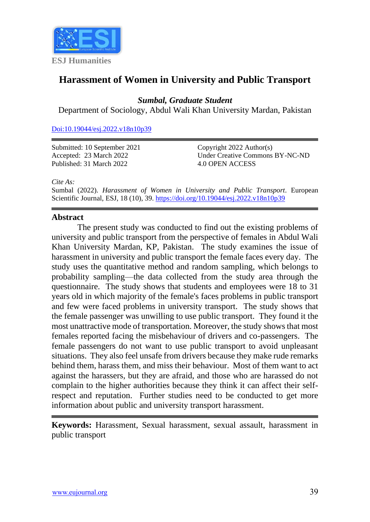

# **Harassment of Women in University and Public Transport**

*Sumbal, Graduate Student*

Department of Sociology, Abdul Wali Khan University Mardan, Pakistan

[Doi:10.19044/esj.2022.v18n10p39](https://doi.org/10.19044/esj.2022.v18n10p39)

Submitted: 10 September 2021 Accepted: 23 March 2022 Published: 31 March 2022

Copyright 2022 Author(s) Under Creative Commons BY-NC-ND 4.0 OPEN ACCESS

*Cite As:*

Sumbal (2022). *Harassment of Women in University and Public Transport.* European Scientific Journal, ESJ, 18 (10), 39. <https://doi.org/10.19044/esj.2022.v18n10p39>

# **Abstract**

The present study was conducted to find out the existing problems of university and public transport from the perspective of females in Abdul Wali Khan University Mardan, KP, Pakistan. The study examines the issue of harassment in university and public transport the female faces every day. The study uses the quantitative method and random sampling, which belongs to probability sampling—the data collected from the study area through the questionnaire. The study shows that students and employees were 18 to 31 years old in which majority of the female's faces problems in public transport and few were faced problems in university transport. The study shows that the female passenger was unwilling to use public transport. They found it the most unattractive mode of transportation. Moreover, the study shows that most females reported facing the misbehaviour of drivers and co-passengers. The female passengers do not want to use public transport to avoid unpleasant situations. They also feel unsafe from drivers because they make rude remarks behind them, harass them, and miss their behaviour. Most of them want to act against the harassers, but they are afraid, and those who are harassed do not complain to the higher authorities because they think it can affect their selfrespect and reputation. Further studies need to be conducted to get more information about public and university transport harassment.

**Keywords:** Harassment, Sexual harassment, sexual assault, harassment in public transport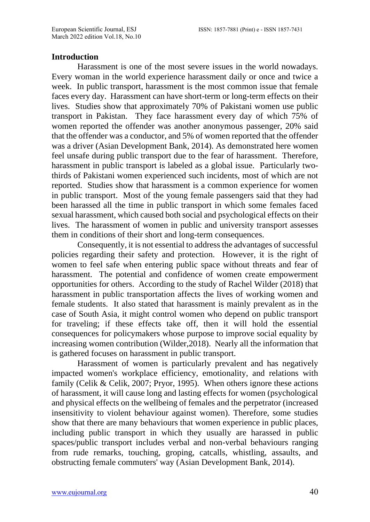# **Introduction**

Harassment is one of the most severe issues in the world nowadays. Every woman in the world experience harassment daily or once and twice a week. In public transport, harassment is the most common issue that female faces every day. Harassment can have short-term or long-term effects on their lives. Studies show that approximately 70% of Pakistani women use public transport in Pakistan. They face harassment every day of which 75% of women reported the offender was another anonymous passenger, 20% said that the offender was a conductor, and 5% of women reported that the offender was a driver (Asian Development Bank, 2014). As demonstrated here women feel unsafe during public transport due to the fear of harassment. Therefore, harassment in public transport is labeled as a global issue. Particularly twothirds of Pakistani women experienced such incidents, most of which are not reported. Studies show that harassment is a common experience for women in public transport. Most of the young female passengers said that they had been harassed all the time in public transport in which some females faced sexual harassment, which caused both social and psychological effects on their lives. The harassment of women in public and university transport assesses them in conditions of their short and long-term consequences.

Consequently, it is not essential to address the advantages of successful policies regarding their safety and protection. However, it is the right of women to feel safe when entering public space without threats and fear of harassment. The potential and confidence of women create empowerment opportunities for others. According to the study of Rachel Wilder (2018) that harassment in public transportation affects the lives of working women and female students. It also stated that harassment is mainly prevalent as in the case of South Asia, it might control women who depend on public transport for traveling; if these effects take off, then it will hold the essential consequences for policymakers whose purpose to improve social equality by increasing women contribution (Wilder,2018). Nearly all the information that is gathered focuses on harassment in public transport.

Harassment of women is particularly prevalent and has negatively impacted women's workplace efficiency, emotionality, and relations with family (Celik & Celik, 2007; Pryor, 1995). When others ignore these actions of harassment, it will cause long and lasting effects for women (psychological and physical effects on the wellbeing of females and the perpetrator (increased insensitivity to violent behaviour against women). Therefore, some studies show that there are many behaviours that women experience in public places, including public transport in which they usually are harassed in public spaces/public transport includes verbal and non-verbal behaviours ranging from rude remarks, touching, groping, catcalls, whistling, assaults, and obstructing female commuters' way (Asian Development Bank, 2014).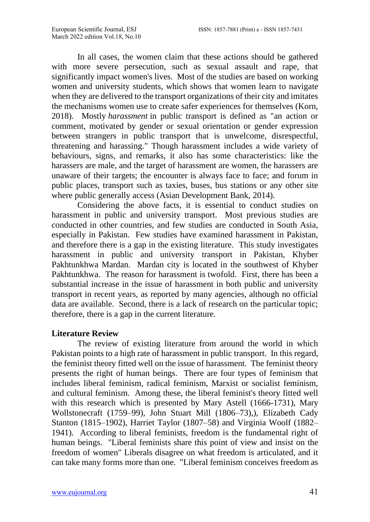In all cases, the women claim that these actions should be gathered with more severe persecution, such as sexual assault and rape, that significantly impact women's lives. Most of the studies are based on working women and university students, which shows that women learn to navigate when they are delivered to the transport organizations of their city and imitates the mechanisms women use to create safer experiences for themselves (Korn, 2018). Mostly *harassment* in public transport is defined as "an action or comment, motivated by gender or sexual orientation or gender expression between strangers in public transport that is unwelcome, disrespectful, threatening and harassing." Though harassment includes a wide variety of behaviours, signs, and remarks, it also has some characteristics: like the harassers are male, and the target of harassment are women, the harassers are unaware of their targets; the encounter is always face to face; and forum in public places, transport such as taxies, buses, bus stations or any other site where public generally access (Asian Development Bank, 2014).

Considering the above facts, it is essential to conduct studies on harassment in public and university transport. Most previous studies are conducted in other countries, and few studies are conducted in South Asia, especially in Pakistan. Few studies have examined harassment in Pakistan, and therefore there is a gap in the existing literature. This study investigates harassment in public and university transport in Pakistan, Khyber Pakhtunkhwa Mardan. Mardan city is located in the southwest of Khyber Pakhtunkhwa. The reason for harassment is twofold. First, there has been a substantial increase in the issue of harassment in both public and university transport in recent years, as reported by many agencies, although no official data are available. Second, there is a lack of research on the particular topic; therefore, there is a gap in the current literature.

#### **Literature Review**

The review of existing literature from around the world in which Pakistan points to a high rate of harassment in public transport. In this regard, the feminist theory fitted well on the issue of harassment. The feminist theory presents the right of human beings. There are four types of feminism that includes liberal feminism, radical feminism, Marxist or socialist feminism, and cultural feminism. Among these, the liberal feminist's theory fitted well with this research which is presented by Mary Astell (1666-1731), Mary Wollstonecraft (1759–99), John Stuart Mill (1806–73),), Elizabeth Cady Stanton (1815–1902), Harriet Taylor (1807–58) and Virginia Woolf (1882– 1941). According to liberal feminists, freedom is the fundamental right of human beings. "Liberal feminists share this point of view and insist on the freedom of women" Liberals disagree on what freedom is articulated, and it can take many forms more than one. "Liberal feminism conceives freedom as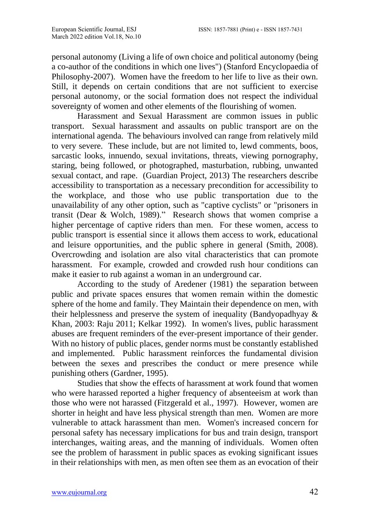personal autonomy (Living a life of own choice and political autonomy (being a co-author of the conditions in which one lives") (Stanford Encyclopaedia of Philosophy-2007). Women have the freedom to her life to live as their own. Still, it depends on certain conditions that are not sufficient to exercise personal autonomy, or the social formation does not respect the individual sovereignty of women and other elements of the flourishing of women.

Harassment and Sexual Harassment are common issues in public transport. Sexual harassment and assaults on public transport are on the international agenda. The behaviours involved can range from relatively mild to very severe. These include, but are not limited to, lewd comments, boos, sarcastic looks, innuendo, sexual invitations, threats, viewing pornography, staring, being followed, or photographed, masturbation, rubbing, unwanted sexual contact, and rape. (Guardian Project, 2013) The researchers describe accessibility to transportation as a necessary precondition for accessibility to the workplace, and those who use public transportation due to the unavailability of any other option, such as "captive cyclists" or "prisoners in transit (Dear & Wolch, 1989)." Research shows that women comprise a higher percentage of captive riders than men. For these women, access to public transport is essential since it allows them access to work, educational and leisure opportunities, and the public sphere in general (Smith, 2008). Overcrowding and isolation are also vital characteristics that can promote harassment. For example, crowded and crowded rush hour conditions can make it easier to rub against a woman in an underground car.

According to the study of Aredener (1981) the separation between public and private spaces ensures that women remain within the domestic sphere of the home and family. They Maintain their dependence on men, with their helplessness and preserve the system of inequality (Bandyopadhyay & Khan, 2003: Raju 2011; Kelkar 1992). In women's lives, public harassment abuses are frequent reminders of the ever-present importance of their gender. With no history of public places, gender norms must be constantly established and implemented. Public harassment reinforces the fundamental division between the sexes and prescribes the conduct or mere presence while punishing others (Gardner, 1995).

Studies that show the effects of harassment at work found that women who were harassed reported a higher frequency of absenteeism at work than those who were not harassed (Fitzgerald et al., 1997). However, women are shorter in height and have less physical strength than men. Women are more vulnerable to attack harassment than men. Women's increased concern for personal safety has necessary implications for bus and train design, transport interchanges, waiting areas, and the manning of individuals. Women often see the problem of harassment in public spaces as evoking significant issues in their relationships with men, as men often see them as an evocation of their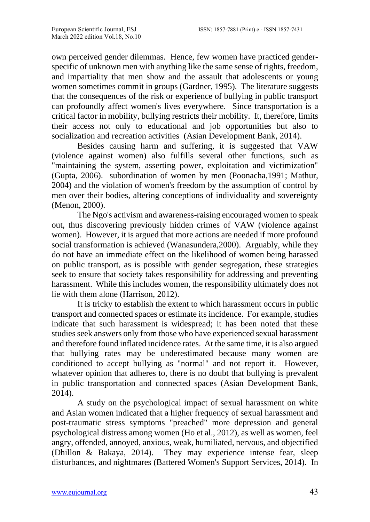own perceived gender dilemmas. Hence, few women have practiced genderspecific of unknown men with anything like the same sense of rights, freedom, and impartiality that men show and the assault that adolescents or young women sometimes commit in groups (Gardner, 1995). The literature suggests that the consequences of the risk or experience of bullying in public transport can profoundly affect women's lives everywhere. Since transportation is a critical factor in mobility, bullying restricts their mobility. It, therefore, limits their access not only to educational and job opportunities but also to socialization and recreation activities (Asian Development Bank, 2014).

Besides causing harm and suffering, it is suggested that VAW (violence against women) also fulfills several other functions, such as "maintaining the system, asserting power, exploitation and victimization" (Gupta, 2006). subordination of women by men (Poonacha,1991; Mathur, 2004) and the violation of women's freedom by the assumption of control by men over their bodies, altering conceptions of individuality and sovereignty (Menon, 2000).

The Ngo's activism and awareness-raising encouraged women to speak out, thus discovering previously hidden crimes of VAW (violence against women). However, it is argued that more actions are needed if more profound social transformation is achieved (Wanasundera,2000). Arguably, while they do not have an immediate effect on the likelihood of women being harassed on public transport, as is possible with gender segregation, these strategies seek to ensure that society takes responsibility for addressing and preventing harassment. While this includes women, the responsibility ultimately does not lie with them alone (Harrison, 2012).

It is tricky to establish the extent to which harassment occurs in public transport and connected spaces or estimate its incidence. For example, studies indicate that such harassment is widespread; it has been noted that these studies seek answers only from those who have experienced sexual harassment and therefore found inflated incidence rates. At the same time, it is also argued that bullying rates may be underestimated because many women are conditioned to accept bullying as "normal" and not report it. However, whatever opinion that adheres to, there is no doubt that bullying is prevalent in public transportation and connected spaces (Asian Development Bank, 2014).

A study on the psychological impact of sexual harassment on white and Asian women indicated that a higher frequency of sexual harassment and post-traumatic stress symptoms "preached" more depression and general psychological distress among women (Ho et al., 2012), as well as women, feel angry, offended, annoyed, anxious, weak, humiliated, nervous, and objectified (Dhillon & Bakaya, 2014). They may experience intense fear, sleep disturbances, and nightmares (Battered Women's Support Services, 2014). In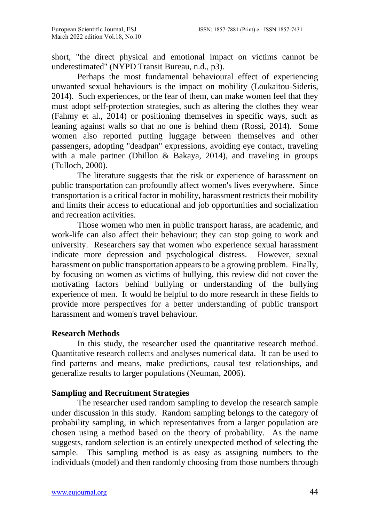short, "the direct physical and emotional impact on victims cannot be underestimated" (NYPD Transit Bureau, n.d., p3).

Perhaps the most fundamental behavioural effect of experiencing unwanted sexual behaviours is the impact on mobility (Loukaitou-Sideris, 2014). Such experiences, or the fear of them, can make women feel that they must adopt self-protection strategies, such as altering the clothes they wear (Fahmy et al., 2014) or positioning themselves in specific ways, such as leaning against walls so that no one is behind them (Rossi, 2014). Some women also reported putting luggage between themselves and other passengers, adopting "deadpan" expressions, avoiding eye contact, traveling with a male partner (Dhillon & Bakaya, 2014), and traveling in groups (Tulloch, 2000).

The literature suggests that the risk or experience of harassment on public transportation can profoundly affect women's lives everywhere. Since transportation is a critical factor in mobility, harassment restricts their mobility and limits their access to educational and job opportunities and socialization and recreation activities.

Those women who men in public transport harass, are academic, and work-life can also affect their behaviour; they can stop going to work and university. Researchers say that women who experience sexual harassment indicate more depression and psychological distress. However, sexual harassment on public transportation appears to be a growing problem. Finally, by focusing on women as victims of bullying, this review did not cover the motivating factors behind bullying or understanding of the bullying experience of men. It would be helpful to do more research in these fields to provide more perspectives for a better understanding of public transport harassment and women's travel behaviour.

# **Research Methods**

In this study, the researcher used the quantitative research method. Quantitative research collects and analyses numerical data. It can be used to find patterns and means, make predictions, causal test relationships, and generalize results to larger populations (Neuman, 2006).

# **Sampling and Recruitment Strategies**

The researcher used random sampling to develop the research sample under discussion in this study. Random sampling belongs to the category of probability sampling, in which representatives from a larger population are chosen using a method based on the theory of probability. As the name suggests, random selection is an entirely unexpected method of selecting the sample. This sampling method is as easy as assigning numbers to the individuals (model) and then randomly choosing from those numbers through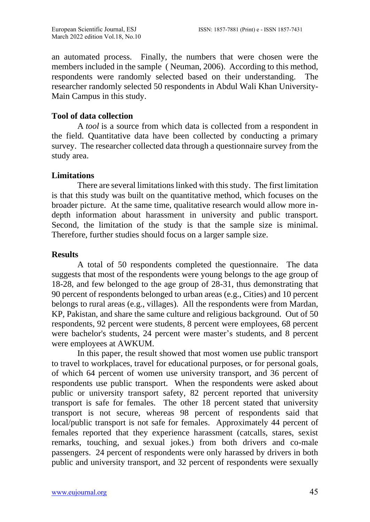an automated process. Finally, the numbers that were chosen were the members included in the sample ( Neuman, 2006). According to this method, respondents were randomly selected based on their understanding. The researcher randomly selected 50 respondents in Abdul Wali Khan University-Main Campus in this study.

# **Tool of data collection**

A *tool* is a source from which data is collected from a respondent in the field. Quantitative data have been collected by conducting a primary survey. The researcher collected data through a questionnaire survey from the study area.

# **Limitations**

There are several limitations linked with this study. The first limitation is that this study was built on the quantitative method, which focuses on the broader picture. At the same time, qualitative research would allow more indepth information about harassment in university and public transport. Second, the limitation of the study is that the sample size is minimal. Therefore, further studies should focus on a larger sample size.

# **Results**

A total of 50 respondents completed the questionnaire. The data suggests that most of the respondents were young belongs to the age group of 18-28, and few belonged to the age group of 28-31, thus demonstrating that 90 percent of respondents belonged to urban areas (e.g., Cities) and 10 percent belongs to rural areas (e.g., villages). All the respondents were from Mardan, KP, Pakistan, and share the same culture and religious background. Out of 50 respondents, 92 percent were students, 8 percent were employees, 68 percent were bachelor's students, 24 percent were master's students, and 8 percent were employees at AWKUM.

In this paper, the result showed that most women use public transport to travel to workplaces, travel for educational purposes, or for personal goals, of which 64 percent of women use university transport, and 36 percent of respondents use public transport. When the respondents were asked about public or university transport safety, 82 percent reported that university transport is safe for females. The other 18 percent stated that university transport is not secure, whereas 98 percent of respondents said that local/public transport is not safe for females. Approximately 44 percent of females reported that they experience harassment (catcalls, stares, sexist remarks, touching, and sexual jokes.) from both drivers and co-male passengers. 24 percent of respondents were only harassed by drivers in both public and university transport, and 32 percent of respondents were sexually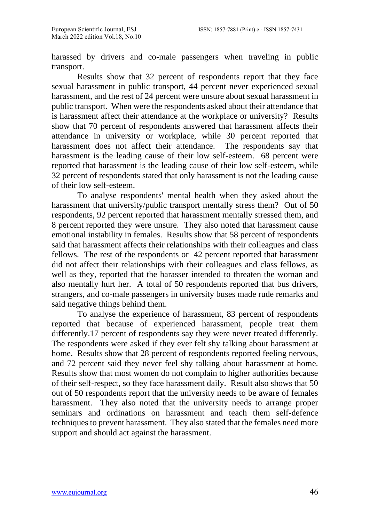harassed by drivers and co-male passengers when traveling in public transport.

Results show that 32 percent of respondents report that they face sexual harassment in public transport, 44 percent never experienced sexual harassment, and the rest of 24 percent were unsure about sexual harassment in public transport. When were the respondents asked about their attendance that is harassment affect their attendance at the workplace or university? Results show that 70 percent of respondents answered that harassment affects their attendance in university or workplace, while 30 percent reported that harassment does not affect their attendance. The respondents say that harassment is the leading cause of their low self-esteem. 68 percent were reported that harassment is the leading cause of their low self-esteem, while 32 percent of respondents stated that only harassment is not the leading cause of their low self-esteem.

To analyse respondents' mental health when they asked about the harassment that university/public transport mentally stress them? Out of 50 respondents, 92 percent reported that harassment mentally stressed them, and 8 percent reported they were unsure. They also noted that harassment cause emotional instability in females. Results show that 58 percent of respondents said that harassment affects their relationships with their colleagues and class fellows. The rest of the respondents or 42 percent reported that harassment did not affect their relationships with their colleagues and class fellows, as well as they, reported that the harasser intended to threaten the woman and also mentally hurt her. A total of 50 respondents reported that bus drivers, strangers, and co-male passengers in university buses made rude remarks and said negative things behind them.

To analyse the experience of harassment, 83 percent of respondents reported that because of experienced harassment, people treat them differently.17 percent of respondents say they were never treated differently. The respondents were asked if they ever felt shy talking about harassment at home. Results show that 28 percent of respondents reported feeling nervous, and 72 percent said they never feel shy talking about harassment at home. Results show that most women do not complain to higher authorities because of their self-respect, so they face harassment daily. Result also shows that 50 out of 50 respondents report that the university needs to be aware of females harassment. They also noted that the university needs to arrange proper seminars and ordinations on harassment and teach them self-defence techniques to prevent harassment. They also stated that the females need more support and should act against the harassment.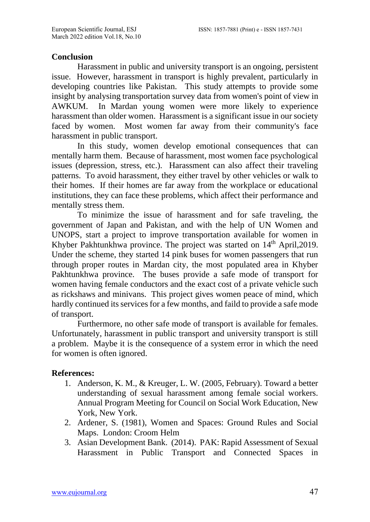### **Conclusion**

Harassment in public and university transport is an ongoing, persistent issue. However, harassment in transport is highly prevalent, particularly in developing countries like Pakistan. This study attempts to provide some insight by analysing transportation survey data from women's point of view in AWKUM. In Mardan young women were more likely to experience harassment than older women. Harassment is a significant issue in our society faced by women. Most women far away from their community's face harassment in public transport.

In this study, women develop emotional consequences that can mentally harm them. Because of harassment, most women face psychological issues (depression, stress, etc.). Harassment can also affect their traveling patterns. To avoid harassment, they either travel by other vehicles or walk to their homes. If their homes are far away from the workplace or educational institutions, they can face these problems, which affect their performance and mentally stress them.

To minimize the issue of harassment and for safe traveling, the government of Japan and Pakistan, and with the help of UN Women and UNOPS, start a project to improve transportation available for women in Khyber Pakhtunkhwa province. The project was started on 14<sup>th</sup> April, 2019. Under the scheme, they started 14 pink buses for women passengers that run through proper routes in Mardan city, the most populated area in Khyber Pakhtunkhwa province. The buses provide a safe mode of transport for women having female conductors and the exact cost of a private vehicle such as rickshaws and minivans. This project gives women peace of mind, which hardly continued its services for a few months, and faild to provide a safe mode of transport.

Furthermore, no other safe mode of transport is available for females. Unfortunately, harassment in public transport and university transport is still a problem. Maybe it is the consequence of a system error in which the need for women is often ignored.

#### **References:**

- 1. Anderson, K. M., & Kreuger, L. W. (2005, February). Toward a better understanding of sexual harassment among female social workers. Annual Program Meeting for Council on Social Work Education, New York, New York.
- 2. Ardener, S. (1981), Women and Spaces: Ground Rules and Social Maps. London: Croom Helm
- 3. Asian Development Bank. (2014). PAK: Rapid Assessment of Sexual Harassment in Public Transport and Connected Spaces in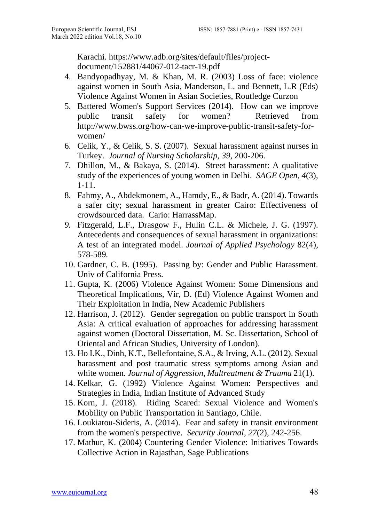Karachi. [https://www.adb.org/sites/default/files/project](https://www.adb.org/sites/default/files/project-document/152881/44067-012-tacr-19.pdf)[document/152881/44067-012-tacr-19.pdf](https://www.adb.org/sites/default/files/project-document/152881/44067-012-tacr-19.pdf)

- 4. Bandyopadhyay, M. & Khan, M. R. (2003) Loss of face: violence against women in South Asia, Manderson, L. and Bennett, L.R (Eds) Violence Against Women in Asian Societies, Routledge Curzon
- 5. Battered Women's Support Services (2014). How can we improve public transit safety for women? Retrieved from http://www.bwss.org/how-can-we-improve-public-transit-safety-forwomen/
- 6. Celik, Y., & Celik, S. S. (2007). Sexual harassment against nurses in Turkey. *Journal of Nursing Scholarship, 39*, 200-206.
- 7. Dhillon, M., & Bakaya, S. (2014). Street harassment: A qualitative study of the experiences of young women in Delhi. *SAGE Open, 4*(3), 1-11.
- 8. Fahmy, A., Abdekmonem, A., Hamdy, E., & Badr, A. (2014). Towards a safer city; sexual harassment in greater Cairo: Effectiveness of crowdsourced data. Cario: HarrassMap.
- *9.* Fitzgerald, L.F., Drasgow F., Hulin C.L. & Michele, J. G. (1997). Antecedents and consequences of sexual harassment in organizations: A test of an integrated model. *Journal of Applied Psychology* 82(4), 578-589*.*
- 10. Gardner, C. B. (1995). Passing by: Gender and Public Harassment. Univ of California Press.
- 11. Gupta, K. (2006) Violence Against Women: Some Dimensions and Theoretical Implications, Vir, D. (Ed) Violence Against Women and Their Exploitation in India, New Academic Publishers
- 12. Harrison, J. (2012). Gender segregation on public transport in South Asia: A critical evaluation of approaches for addressing harassment against women (Doctoral Dissertation, M. Sc. Dissertation, School of Oriental and African Studies, University of London).
- 13. Ho I.K., Dinh, K.T., Bellefontaine, S.A., & Irving, A.L. (2012). Sexual harassment and post traumatic stress symptoms among Asian and white women. *Journal of Aggression, Maltreatment & Trauma* 21(1).
- 14. Kelkar, G. (1992) Violence Against Women: Perspectives and Strategies in India, Indian Institute of Advanced Study
- 15. Korn, J. (2018). Riding Scared: Sexual Violence and Women's Mobility on Public Transportation in Santiago, Chile.
- 16. Loukiatou-Sideris, A. (2014). Fear and safety in transit environment from the women's perspective. *Security Journal, 27*(2), 242-256.
- 17. Mathur, K. (2004) Countering Gender Violence: Initiatives Towards Collective Action in Rajasthan, Sage Publications